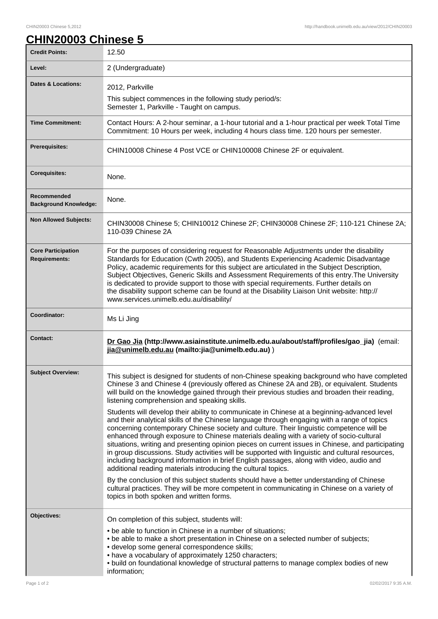## CHIN20003 Chinese 5,2012 http://handbook.unimelb.edu.au/view/2012/CHIN20003

| <b>CHIN20003 Chinese 5</b> |  |  |
|----------------------------|--|--|
|                            |  |  |

| <b>Credit Points:</b>                             | 12.50                                                                                                                                                                                                                                                                                                                                                                                                                                                                                                                                                                                                                                                                                                                                                  |
|---------------------------------------------------|--------------------------------------------------------------------------------------------------------------------------------------------------------------------------------------------------------------------------------------------------------------------------------------------------------------------------------------------------------------------------------------------------------------------------------------------------------------------------------------------------------------------------------------------------------------------------------------------------------------------------------------------------------------------------------------------------------------------------------------------------------|
| Level:                                            | 2 (Undergraduate)                                                                                                                                                                                                                                                                                                                                                                                                                                                                                                                                                                                                                                                                                                                                      |
| Dates & Locations:                                | 2012, Parkville                                                                                                                                                                                                                                                                                                                                                                                                                                                                                                                                                                                                                                                                                                                                        |
|                                                   | This subject commences in the following study period/s:<br>Semester 1, Parkville - Taught on campus.                                                                                                                                                                                                                                                                                                                                                                                                                                                                                                                                                                                                                                                   |
| <b>Time Commitment:</b>                           | Contact Hours: A 2-hour seminar, a 1-hour tutorial and a 1-hour practical per week Total Time<br>Commitment: 10 Hours per week, including 4 hours class time. 120 hours per semester.                                                                                                                                                                                                                                                                                                                                                                                                                                                                                                                                                                  |
| Prerequisites:                                    | CHIN10008 Chinese 4 Post VCE or CHIN100008 Chinese 2F or equivalent.                                                                                                                                                                                                                                                                                                                                                                                                                                                                                                                                                                                                                                                                                   |
| <b>Corequisites:</b>                              | None.                                                                                                                                                                                                                                                                                                                                                                                                                                                                                                                                                                                                                                                                                                                                                  |
| Recommended<br><b>Background Knowledge:</b>       | None.                                                                                                                                                                                                                                                                                                                                                                                                                                                                                                                                                                                                                                                                                                                                                  |
| <b>Non Allowed Subjects:</b>                      | CHIN30008 Chinese 5; CHIN10012 Chinese 2F; CHIN30008 Chinese 2F; 110-121 Chinese 2A;<br>110-039 Chinese 2A                                                                                                                                                                                                                                                                                                                                                                                                                                                                                                                                                                                                                                             |
| <b>Core Participation</b><br><b>Requirements:</b> | For the purposes of considering request for Reasonable Adjustments under the disability<br>Standards for Education (Cwth 2005), and Students Experiencing Academic Disadvantage<br>Policy, academic requirements for this subject are articulated in the Subject Description,<br>Subject Objectives, Generic Skills and Assessment Requirements of this entry. The University<br>is dedicated to provide support to those with special requirements. Further details on<br>the disability support scheme can be found at the Disability Liaison Unit website: http://<br>www.services.unimelb.edu.au/disability/                                                                                                                                       |
| Coordinator:                                      | Ms Li Jing                                                                                                                                                                                                                                                                                                                                                                                                                                                                                                                                                                                                                                                                                                                                             |
| <b>Contact:</b>                                   | Dr Gao Jia (http://www.asiainstitute.unimelb.edu.au/about/staff/profiles/gao_jia) (email:<br>jia@unimelb.edu.au (mailto: jia@unimelb.edu.au))                                                                                                                                                                                                                                                                                                                                                                                                                                                                                                                                                                                                          |
| <b>Subject Overview:</b>                          | This subject is designed for students of non-Chinese speaking background who have completed<br>Chinese 3 and Chinese 4 (previously offered as Chinese 2A and 2B), or equivalent. Students<br>will build on the knowledge gained through their previous studies and broaden their reading,<br>listening comprehension and speaking skills.                                                                                                                                                                                                                                                                                                                                                                                                              |
|                                                   | Students will develop their ability to communicate in Chinese at a beginning-advanced level<br>and their analytical skills of the Chinese language through engaging with a range of topics<br>concerning contemporary Chinese society and culture. Their linguistic competence will be<br>enhanced through exposure to Chinese materials dealing with a variety of socio-cultural<br>situations, writing and presenting opinion pieces on current issues in Chinese, and participating<br>in group discussions. Study activities will be supported with linguistic and cultural resources,<br>including background information in brief English passages, along with video, audio and<br>additional reading materials introducing the cultural topics. |
|                                                   | By the conclusion of this subject students should have a better understanding of Chinese<br>cultural practices. They will be more competent in communicating in Chinese on a variety of<br>topics in both spoken and written forms.                                                                                                                                                                                                                                                                                                                                                                                                                                                                                                                    |
| Objectives:                                       | On completion of this subject, students will:<br>• be able to function in Chinese in a number of situations;                                                                                                                                                                                                                                                                                                                                                                                                                                                                                                                                                                                                                                           |
|                                                   | • be able to make a short presentation in Chinese on a selected number of subjects;<br>· develop some general correspondence skills;<br>• have a vocabulary of approximately 1250 characters;<br>. build on foundational knowledge of structural patterns to manage complex bodies of new<br>information;                                                                                                                                                                                                                                                                                                                                                                                                                                              |